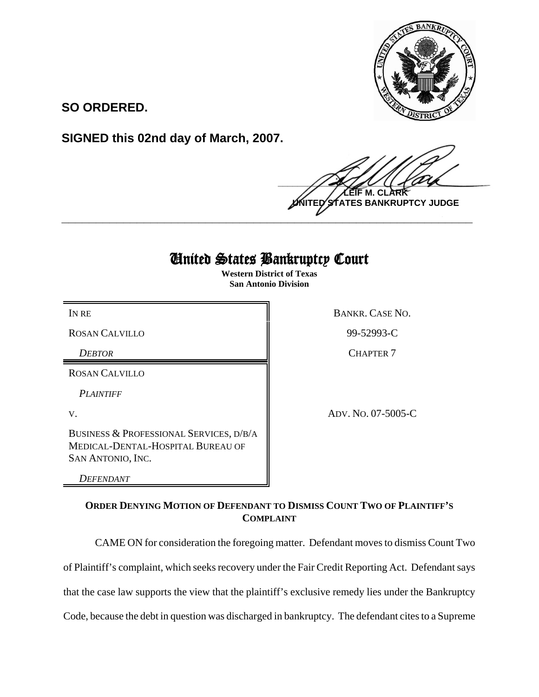

**SO ORDERED.**

**SIGNED this 02nd day of March, 2007.**

 $\frac{1}{2}$ **LEIF M. CLARK TES BANKRUPTCY JUDGE \_\_\_\_\_\_\_\_\_\_\_\_\_\_\_\_\_\_\_\_\_\_\_\_\_\_\_\_\_\_\_\_\_\_\_\_\_\_\_\_\_\_\_\_\_\_\_\_\_\_\_\_\_\_\_\_\_\_\_\_**

## United States Bankruptcy Court

**Western District of Texas San Antonio Division**

ROSAN CALVILLO 89-52993-C

ROSAN CALVILLO

*PLAINTIFF* 

BUSINESS & PROFESSIONAL SERVICES, D/B/A MEDICAL-DENTAL-HOSPITAL BUREAU OF SAN ANTONIO, INC.

*DEFENDANT* 

IN RE BANKR. CASE NO.

*DEBTOR* CHAPTER 7

V. ADV. NO. 07-5005-C

**ORDER DENYING MOTION OF DEFENDANT TO DISMISS COUNT TWO OF PLAINTIFF'S COMPLAINT**

CAME ON for consideration the foregoing matter. Defendant moves to dismiss Count Two

of Plaintiff's complaint, which seeks recovery under the Fair Credit Reporting Act. Defendant says

that the case law supports the view that the plaintiff's exclusive remedy lies under the Bankruptcy

Code, because the debt in question was discharged in bankruptcy. The defendant cites to a Supreme